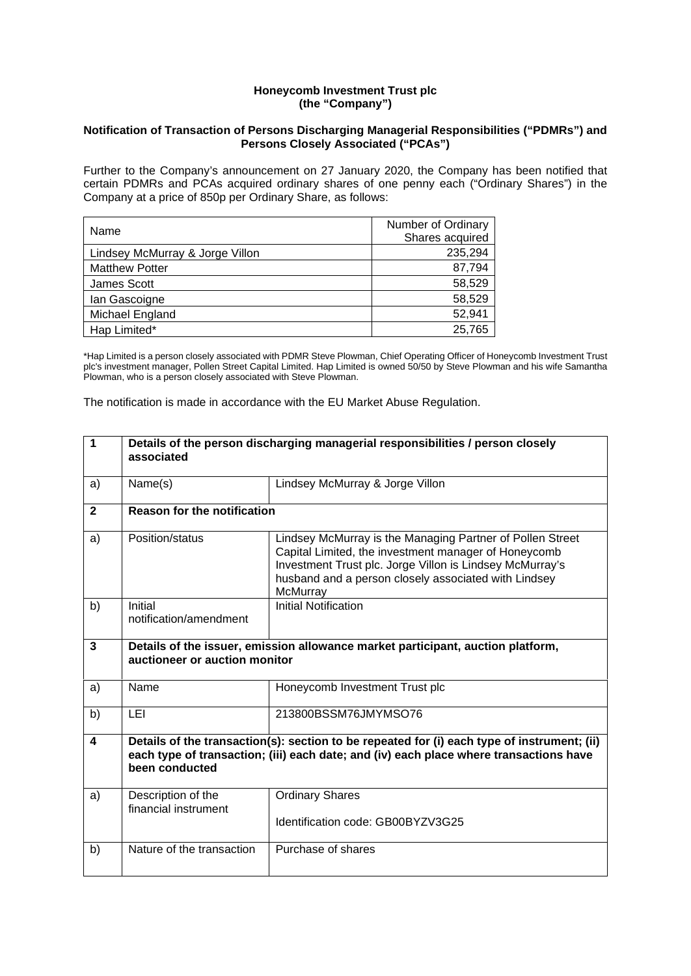### **Honeycomb Investment Trust plc (the "Company")**

### **Notification of Transaction of Persons Discharging Managerial Responsibilities ("PDMRs") and Persons Closely Associated ("PCAs")**

Further to the Company's announcement on 27 January 2020, the Company has been notified that certain PDMRs and PCAs acquired ordinary shares of one penny each ("Ordinary Shares") in the Company at a price of 850p per Ordinary Share, as follows:

| Name                            | Number of Ordinary |
|---------------------------------|--------------------|
|                                 | Shares acquired    |
| Lindsey McMurray & Jorge Villon | 235,294            |
| <b>Matthew Potter</b>           | 87,794             |
| James Scott                     | 58,529             |
| lan Gascoigne                   | 58,529             |
| Michael England                 | 52,941             |
| Hap Limited*                    | 25,765             |

\*Hap Limited is a person closely associated with PDMR Steve Plowman, Chief Operating Officer of Honeycomb Investment Trust plc's investment manager, Pollen Street Capital Limited. Hap Limited is owned 50/50 by Steve Plowman and his wife Samantha Plowman, who is a person closely associated with Steve Plowman.

The notification is made in accordance with the EU Market Abuse Regulation.

| 1            | Details of the person discharging managerial responsibilities / person closely<br>associated                     |                                                                                                                                                                                                                                                   |  |
|--------------|------------------------------------------------------------------------------------------------------------------|---------------------------------------------------------------------------------------------------------------------------------------------------------------------------------------------------------------------------------------------------|--|
| a)           | Name(s)                                                                                                          | Lindsey McMurray & Jorge Villon                                                                                                                                                                                                                   |  |
| $\mathbf{2}$ | <b>Reason for the notification</b>                                                                               |                                                                                                                                                                                                                                                   |  |
| a)           | Position/status                                                                                                  | Lindsey McMurray is the Managing Partner of Pollen Street<br>Capital Limited, the investment manager of Honeycomb<br>Investment Trust plc. Jorge Villon is Lindsey McMurray's<br>husband and a person closely associated with Lindsey<br>McMurray |  |
| b)           | Initial<br>notification/amendment                                                                                | <b>Initial Notification</b>                                                                                                                                                                                                                       |  |
| 3            | Details of the issuer, emission allowance market participant, auction platform,<br>auctioneer or auction monitor |                                                                                                                                                                                                                                                   |  |
| a)           | Name                                                                                                             | Honeycomb Investment Trust plc                                                                                                                                                                                                                    |  |
| b)           | LEI                                                                                                              | 213800BSSM76JMYMSO76                                                                                                                                                                                                                              |  |
| 4            | been conducted                                                                                                   | Details of the transaction(s): section to be repeated for (i) each type of instrument; (ii)<br>each type of transaction; (iii) each date; and (iv) each place where transactions have                                                             |  |
| a)           | Description of the<br>financial instrument                                                                       | <b>Ordinary Shares</b><br>Identification code: GB00BYZV3G25                                                                                                                                                                                       |  |
| b)           | Nature of the transaction                                                                                        | Purchase of shares                                                                                                                                                                                                                                |  |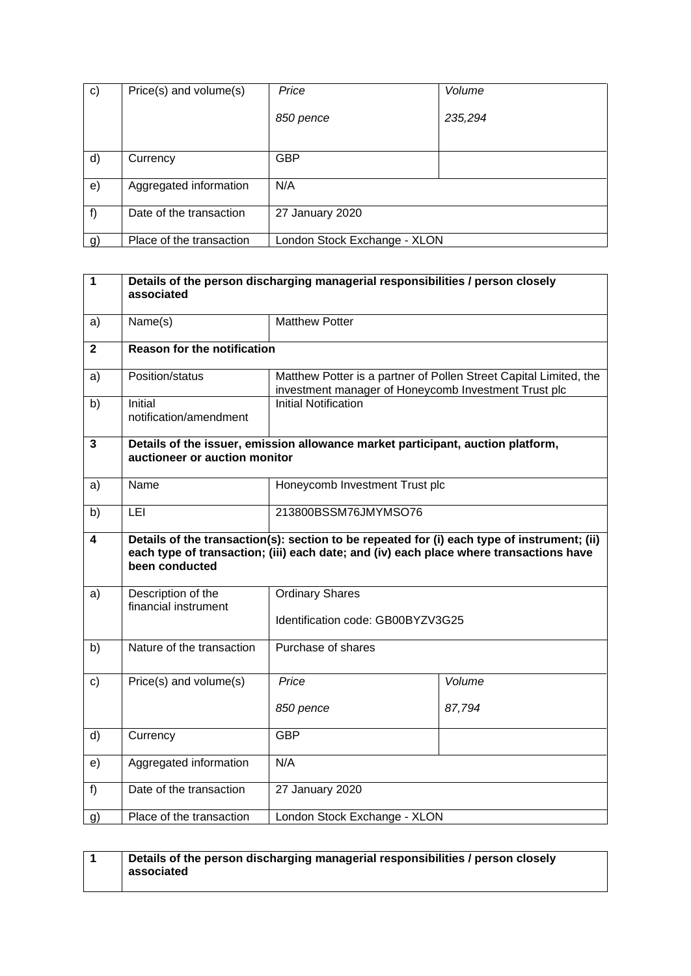| $\mathbf{c}$ | Price(s) and volume(s)   | Price                        | Volume  |
|--------------|--------------------------|------------------------------|---------|
|              |                          | 850 pence                    | 235,294 |
| d)           | Currency                 | <b>GBP</b>                   |         |
| e)           | Aggregated information   | N/A                          |         |
| f)           | Date of the transaction  | 27 January 2020              |         |
| g)           | Place of the transaction | London Stock Exchange - XLON |         |

| $\mathbf{1}$   | Details of the person discharging managerial responsibilities / person closely<br>associated                                                                                                            |                                                             |                                                                   |  |
|----------------|---------------------------------------------------------------------------------------------------------------------------------------------------------------------------------------------------------|-------------------------------------------------------------|-------------------------------------------------------------------|--|
| a)             | Name(s)                                                                                                                                                                                                 | <b>Matthew Potter</b>                                       |                                                                   |  |
| $\overline{2}$ | <b>Reason for the notification</b>                                                                                                                                                                      |                                                             |                                                                   |  |
| a)             | Position/status                                                                                                                                                                                         | investment manager of Honeycomb Investment Trust plc        | Matthew Potter is a partner of Pollen Street Capital Limited, the |  |
| b)             | <b>Initial</b><br>notification/amendment                                                                                                                                                                | <b>Initial Notification</b>                                 |                                                                   |  |
| $\overline{3}$ | Details of the issuer, emission allowance market participant, auction platform,<br>auctioneer or auction monitor                                                                                        |                                                             |                                                                   |  |
| a)             | Name                                                                                                                                                                                                    |                                                             | Honeycomb Investment Trust plc                                    |  |
| b)             | LEI                                                                                                                                                                                                     | 213800BSSM76JMYMSO76                                        |                                                                   |  |
| 4              | Details of the transaction(s): section to be repeated for (i) each type of instrument; (ii)<br>each type of transaction; (iii) each date; and (iv) each place where transactions have<br>been conducted |                                                             |                                                                   |  |
| a)             | Description of the<br>financial instrument                                                                                                                                                              | <b>Ordinary Shares</b><br>Identification code: GB00BYZV3G25 |                                                                   |  |
| b)             | Nature of the transaction                                                                                                                                                                               | Purchase of shares                                          |                                                                   |  |
| c)             | Price(s) and volume(s)                                                                                                                                                                                  | Price                                                       | Volume                                                            |  |
|                |                                                                                                                                                                                                         | 850 pence                                                   | 87,794                                                            |  |
| d)             | Currency                                                                                                                                                                                                | <b>GBP</b>                                                  |                                                                   |  |
| e)             | Aggregated information                                                                                                                                                                                  | N/A                                                         |                                                                   |  |
| f)             | Date of the transaction                                                                                                                                                                                 | 27 January 2020                                             |                                                                   |  |
| g)             | Place of the transaction                                                                                                                                                                                | London Stock Exchange - XLON                                |                                                                   |  |

| Details of the person discharging managerial responsibilities / person closely |
|--------------------------------------------------------------------------------|
| associated                                                                     |
|                                                                                |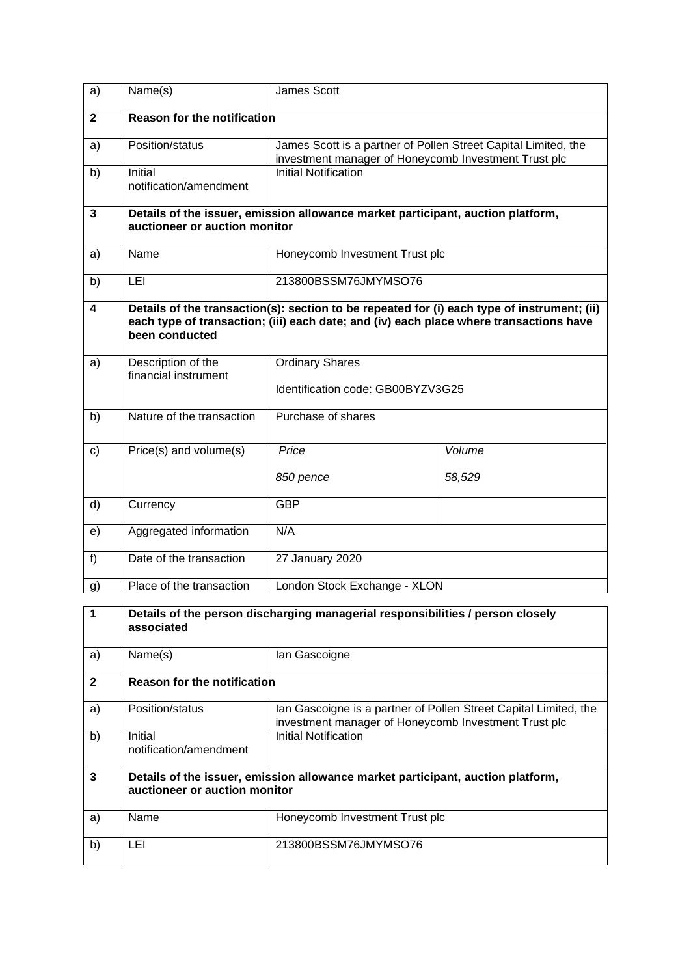| a)           | Name(s)                                    | James Scott                                                                                                                                                                           |                  |  |
|--------------|--------------------------------------------|---------------------------------------------------------------------------------------------------------------------------------------------------------------------------------------|------------------|--|
| $\mathbf{2}$ | <b>Reason for the notification</b>         |                                                                                                                                                                                       |                  |  |
| a)           | Position/status                            | James Scott is a partner of Pollen Street Capital Limited, the<br>investment manager of Honeycomb Investment Trust plc                                                                |                  |  |
| b)           | Initial<br>notification/amendment          | <b>Initial Notification</b>                                                                                                                                                           |                  |  |
| 3            | auctioneer or auction monitor              | Details of the issuer, emission allowance market participant, auction platform,                                                                                                       |                  |  |
| a)           | Name                                       | Honeycomb Investment Trust plc                                                                                                                                                        |                  |  |
| b)           | LEI                                        | 213800BSSM76JMYMSO76                                                                                                                                                                  |                  |  |
| 4            | been conducted                             | Details of the transaction(s): section to be repeated for (i) each type of instrument; (ii)<br>each type of transaction; (iii) each date; and (iv) each place where transactions have |                  |  |
| a)           | Description of the<br>financial instrument | <b>Ordinary Shares</b><br>Identification code: GB00BYZV3G25                                                                                                                           |                  |  |
| b)           | Nature of the transaction                  | Purchase of shares                                                                                                                                                                    |                  |  |
| c)           | Price(s) and volume(s)                     | Price<br>850 pence                                                                                                                                                                    | Volume<br>58,529 |  |
| d)           | Currency                                   | <b>GBP</b>                                                                                                                                                                            |                  |  |
| e)           | Aggregated information                     | N/A                                                                                                                                                                                   |                  |  |
| f)           | Date of the transaction                    | 27 January 2020                                                                                                                                                                       |                  |  |
| g)           | Place of the transaction                   | London Stock Exchange - XLON                                                                                                                                                          |                  |  |

|              | Details of the person discharging managerial responsibilities / person closely<br>associated                     |                                                                                                                          |  |
|--------------|------------------------------------------------------------------------------------------------------------------|--------------------------------------------------------------------------------------------------------------------------|--|
| a)           | Name(s)                                                                                                          | lan Gascoigne                                                                                                            |  |
| $\mathbf{2}$ | <b>Reason for the notification</b>                                                                               |                                                                                                                          |  |
| a)           | Position/status                                                                                                  | Ian Gascoigne is a partner of Pollen Street Capital Limited, the<br>investment manager of Honeycomb Investment Trust plc |  |
| b)           | Initial<br>notification/amendment                                                                                | Initial Notification                                                                                                     |  |
| 3            | Details of the issuer, emission allowance market participant, auction platform,<br>auctioneer or auction monitor |                                                                                                                          |  |
| a)           | Name                                                                                                             | Honeycomb Investment Trust plc                                                                                           |  |
| b)           | LEI                                                                                                              | 213800BSSM76JMYMSO76                                                                                                     |  |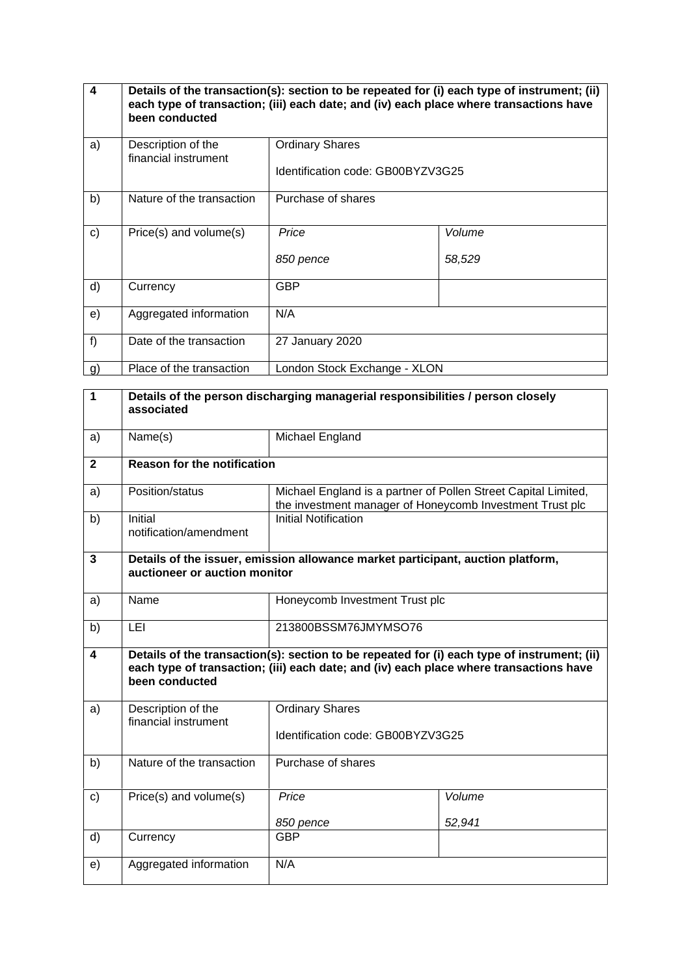| $\boldsymbol{4}$ | Details of the transaction(s): section to be repeated for (i) each type of instrument; (ii)<br>each type of transaction; (iii) each date; and (iv) each place where transactions have<br>been conducted |                                                             |                  |
|------------------|---------------------------------------------------------------------------------------------------------------------------------------------------------------------------------------------------------|-------------------------------------------------------------|------------------|
| a)               | Description of the<br>financial instrument                                                                                                                                                              | <b>Ordinary Shares</b><br>Identification code: GB00BYZV3G25 |                  |
| b)               | Nature of the transaction                                                                                                                                                                               | Purchase of shares                                          |                  |
| $\mathbf{C}$     | Price(s) and volume(s)                                                                                                                                                                                  | Price<br>850 pence                                          | Volume<br>58,529 |
| d)               | Currency                                                                                                                                                                                                | <b>GBP</b>                                                  |                  |
| e)               | Aggregated information                                                                                                                                                                                  | N/A                                                         |                  |
| f)               | Date of the transaction                                                                                                                                                                                 | 27 January 2020                                             |                  |
| g)               | Place of the transaction                                                                                                                                                                                | London Stock Exchange - XLON                                |                  |

| 1              | Details of the person discharging managerial responsibilities / person closely<br>associated |                                                                                                                                                                                       |                                |  |
|----------------|----------------------------------------------------------------------------------------------|---------------------------------------------------------------------------------------------------------------------------------------------------------------------------------------|--------------------------------|--|
| a)             | Name(s)                                                                                      | Michael England                                                                                                                                                                       |                                |  |
| $\overline{2}$ | <b>Reason for the notification</b>                                                           |                                                                                                                                                                                       |                                |  |
| a)             | Position/status                                                                              | Michael England is a partner of Pollen Street Capital Limited,<br>the investment manager of Honeycomb Investment Trust plc                                                            |                                |  |
| b)             | Initial<br>notification/amendment                                                            | <b>Initial Notification</b>                                                                                                                                                           |                                |  |
| 3              | auctioneer or auction monitor                                                                | Details of the issuer, emission allowance market participant, auction platform,                                                                                                       |                                |  |
| a)             | Name                                                                                         |                                                                                                                                                                                       | Honeycomb Investment Trust plc |  |
| b)             | LEI                                                                                          | 213800BSSM76JMYMSO76                                                                                                                                                                  |                                |  |
| 4              | been conducted                                                                               | Details of the transaction(s): section to be repeated for (i) each type of instrument; (ii)<br>each type of transaction; (iii) each date; and (iv) each place where transactions have |                                |  |
| a)             | Description of the<br>financial instrument                                                   | <b>Ordinary Shares</b><br>Identification code: GB00BYZV3G25                                                                                                                           |                                |  |
| b)             | Nature of the transaction                                                                    | Purchase of shares                                                                                                                                                                    |                                |  |
| c)             | Price(s) and volume(s)                                                                       | Price<br>850 pence                                                                                                                                                                    | Volume<br>52,941               |  |
| d)             | Currency                                                                                     | <b>GBP</b>                                                                                                                                                                            |                                |  |
| e)             | Aggregated information                                                                       | N/A                                                                                                                                                                                   |                                |  |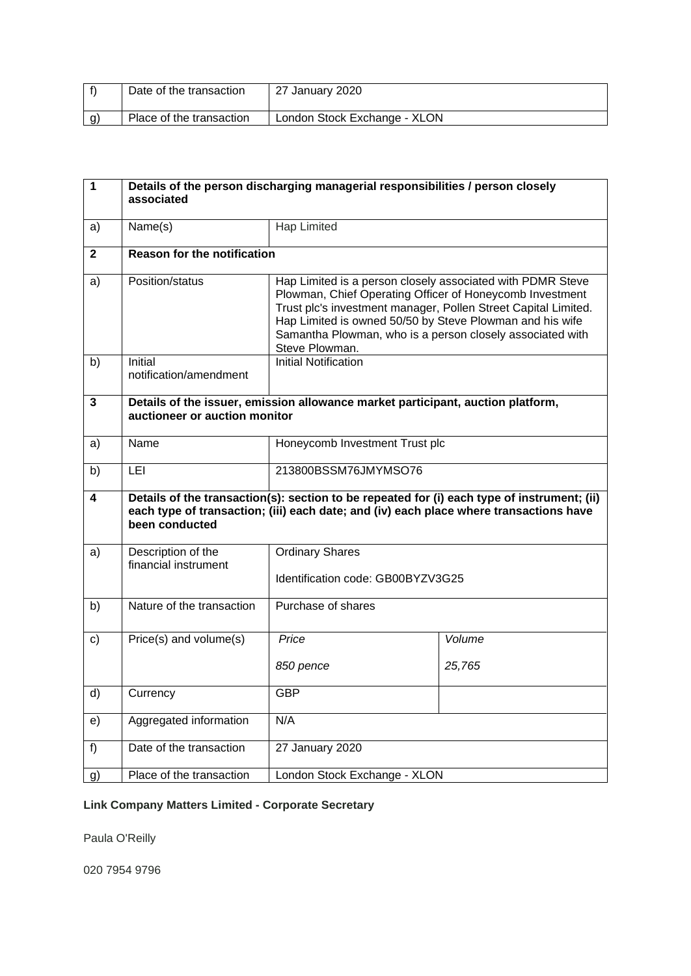| Date of the transaction  | 27 January 2020              |
|--------------------------|------------------------------|
| Place of the transaction | London Stock Exchange - XLON |

| 1           | Details of the person discharging managerial responsibilities / person closely<br>associated |                                                                                                                                                                                                                                                                                                                                     |                  |  |
|-------------|----------------------------------------------------------------------------------------------|-------------------------------------------------------------------------------------------------------------------------------------------------------------------------------------------------------------------------------------------------------------------------------------------------------------------------------------|------------------|--|
| a)          | Name(s)                                                                                      | <b>Hap Limited</b>                                                                                                                                                                                                                                                                                                                  |                  |  |
| $\mathbf 2$ | <b>Reason for the notification</b>                                                           |                                                                                                                                                                                                                                                                                                                                     |                  |  |
| a)          | Position/status                                                                              | Hap Limited is a person closely associated with PDMR Steve<br>Plowman, Chief Operating Officer of Honeycomb Investment<br>Trust plc's investment manager, Pollen Street Capital Limited.<br>Hap Limited is owned 50/50 by Steve Plowman and his wife<br>Samantha Plowman, who is a person closely associated with<br>Steve Plowman. |                  |  |
| b)          | Initial<br>notification/amendment                                                            | <b>Initial Notification</b>                                                                                                                                                                                                                                                                                                         |                  |  |
| 3           | auctioneer or auction monitor                                                                | Details of the issuer, emission allowance market participant, auction platform,                                                                                                                                                                                                                                                     |                  |  |
| a)          | Name                                                                                         | Honeycomb Investment Trust plc                                                                                                                                                                                                                                                                                                      |                  |  |
| b)          | LEI                                                                                          | 213800BSSM76JMYMSO76                                                                                                                                                                                                                                                                                                                |                  |  |
| 4           | been conducted                                                                               | Details of the transaction(s): section to be repeated for (i) each type of instrument; (ii)<br>each type of transaction; (iii) each date; and (iv) each place where transactions have                                                                                                                                               |                  |  |
| a)          | Description of the<br>financial instrument                                                   | <b>Ordinary Shares</b><br>Identification code: GB00BYZV3G25                                                                                                                                                                                                                                                                         |                  |  |
| b)          | Nature of the transaction                                                                    | Purchase of shares                                                                                                                                                                                                                                                                                                                  |                  |  |
| c)          | Price(s) and volume(s)                                                                       | Price<br>850 pence                                                                                                                                                                                                                                                                                                                  | Volume<br>25,765 |  |
| d)          | Currency                                                                                     | GBP                                                                                                                                                                                                                                                                                                                                 |                  |  |
| e)          | Aggregated information                                                                       | N/A                                                                                                                                                                                                                                                                                                                                 |                  |  |
| f)          | Date of the transaction                                                                      | 27 January 2020                                                                                                                                                                                                                                                                                                                     |                  |  |
| g)          | Place of the transaction                                                                     | London Stock Exchange - XLON                                                                                                                                                                                                                                                                                                        |                  |  |

# **Link Company Matters Limited - Corporate Secretary**

Paula O'Reilly

020 7954 9796